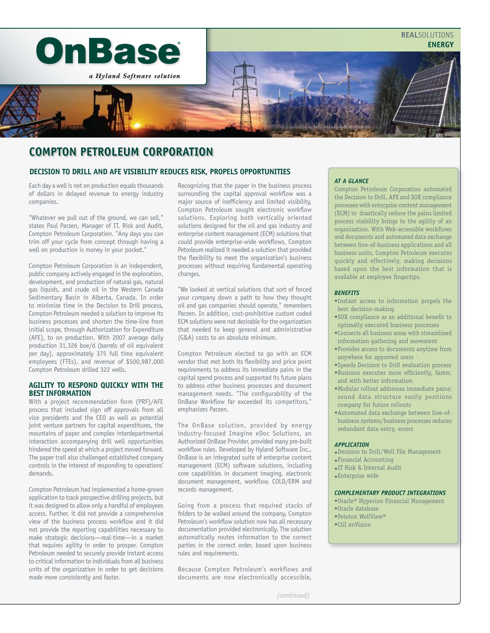

# **compton petroleum corporation**

# **Decision to Drill and AFE VISIBILITY REDUCES RISK, PROPELS OPPORTUNITIES**

Each day a well is not on production equals thousands of dollars in delayed revenue to energy industry companies.

"Whatever we pull out of the ground, we can sell," states Paul Parzen, Manager of IT, Risk and Audit, Compton Petroleum Corporation. "Any days you can trim off your cycle from concept through having a well on production is money in your pocket."

Compton Petroleum Corporation is an independent, public company actively engaged in the exploration, development, and production of natural gas, natural gas liquids, and crude oil in the Western Canada Sedimentary Basin in Alberta, Canada. In order to minimize time in the Decision to Drill process, Compton Petroleum needed a solution to improve its business processes and shorten the time-line from initial scope, through Authorization for Expenditure (AFE), to on production. With 2007 average daily production 31,326 boe/d (barrels of oil equivalent per day), approximately 375 full time equivalent employees (FTEs), and revenue of \$500,987,000 Compton Petroleum drilled 322 wells.

## **Agility to Respond Quickly With the Best Information**

With a project recommendation form (PRF)/AFE process that included sign off approvals from all vice presidents and the CEO as well as potential joint venture partners for capital expenditures, the mountains of paper and complex interdepartmental interaction accompanying drill well opportunities hindered the speed at which a project moved forward. The paper trail also challenged established company controls in the interest of responding to operations' demands.

Compton Petroleum had implemented a home-grown application to track prospective drilling projects, but it was designed to allow only a handful of employees access. Further, it did not provide a comprehensive view of the business process workflow and it did not provide the reporting capabilities necessary to make strategic decisions—real-time—in a market that requires agility in order to prosper. Compton Petroleum needed to securely provide instant access to critical information to individuals from all business units of the organization in order to get decisions made more consistently and faster.

Recognizing that the paper in the business process surrounding the capital approval workflow was a major source of inefficiency and limited visibility, Compton Petroleum sought electronic workflow solutions. Exploring both vertically oriented solutions designed for the oil and gas industry and enterprise content management (ECM) solutions that could provide enterprise-wide workflows, Compton Petroleum realized it needed a solution that provided the flexibility to meet the organization's business processes without requiring fundamental operating changes.

"We looked at vertical solutions that sort of forced your company down a path to how they thought oil and gas companies should operate," remembers Parzen. In addition, cost-prohibitive custom coded ECM solutions were not desirable for the organization that needed to keep general and administrative (G&A) costs to an absolute minimum.

Compton Petroleum elected to go with an ECM vendor that met both its flexibility and price point requirements to address its immediate pains in the capital spend process and supported its future plans to address other business processes and document management needs. "The configurability of the OnBase Workflow far exceeded its competitors," emphasizes Parzen.

The OnBase solution, provided by energy industry-focused Imagine eDoc Solutions, an Authorized OnBase Provider, provided many pre-built workflow rules. Developed by Hyland Software Inc., OnBase is an integrated suite of enterprise content management (ECM) software solutions, including core capabilities in document imaging, electronic document management, workflow, COLD/ERM and records management.

Going from a process that required stacks of folders to be walked around the company, Compton Petroleum's workflow solution now has all necessary documentation provided electronically. The solution automatically routes information to the correct parties in the correct order, based upon business rules and requirements.

Because Compton Petroleum's workflows and documents are now electronically accessible,

# *AT A GLANCE*

Compton Petroleum Corporation automated the Decision to Drill, AFE and SOX compliance processes with enterprise content management (ECM) to drastically reduce the pains limited process visibility brings to the agility of an organization. With Web-accessible workflows and documents and automated data exchange between line-of-business applications and all business units, Compton Petroleum executes quickly and effectively, making decisions based upon the best information that is available at employee fingertips.

#### *BENEFITS*

- •Instant access to information propels the best decision-making
- •SOX compliance as an additional benefit to optimally executed business processes
- •Connects all business areas with streamlined information gathering and movement
- •Provides access to documents anytime from anywhere for approved users
- •Speeds Decision to Drill evaluation process •Business executes more efficiently, faster, and with better information
- •Modular rollout addresses immediate pains; sound data structure easily positions company for future rollouts
- •Automated data exchange between line-ofbusiness systems/business processes reduces redundant data entry, errors

#### *APPLICATION*

- •Decision to Drill/Well File Management
- •Financial Accounting
- •IT Risk & Internal Audit
- •Enterprise wide

# *COMPLEMENTARY PRODUCT INTEGRATIONS*

- •Oracle® Hyperion Financial Management
- •Oracle database
- •Peloton WellView®
- •CGI enVision